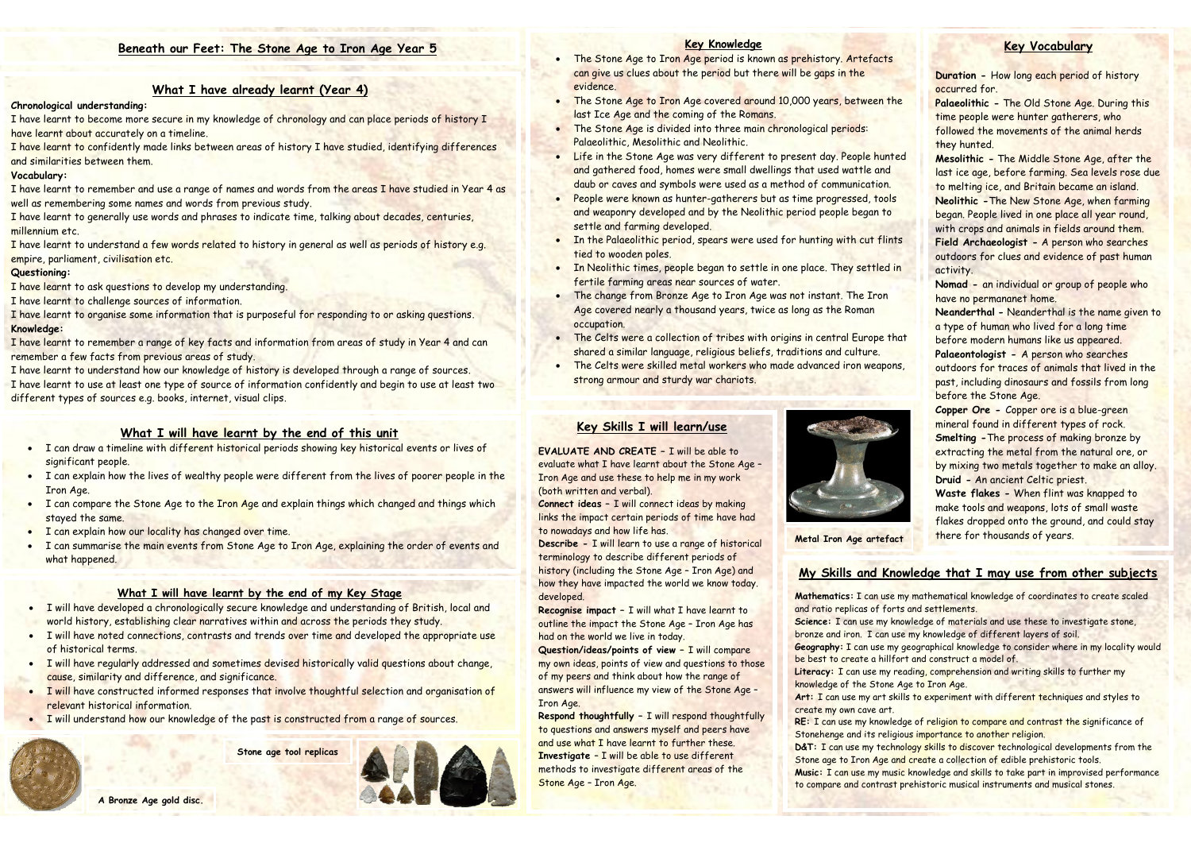## **What I have already learnt (Year 4)**

## **Chronological understanding:**

I have learnt to become more secure in my knowledge of chronology and can place periods of history I have learnt about accurately on a timeline.

I have learnt to remember and use a range of names and words from the areas I have studied in Year 4 as well as remembering some names and words from previous study.

I have learnt to confidently made links between areas of history I have studied, identifying differences and similarities between them.

## **Vocabulary:**

I have learnt to generally use words and phrases to indicate time, talking about decades, centuries, millennium etc.

I have learnt to understand a few words related to history in general as well as periods of history e.g. empire, parliament, civilisation etc.

### **Questioning:**

I have learnt to ask questions to develop my understanding.

I have learnt to challenge sources of information.

I have learnt to organise some information that is purposeful for responding to or asking questions. **Knowledge:**

I have learnt to remember a range of key facts and information from areas of study in Year 4 and can remember a few facts from previous areas of study.

I have learnt to understand how our knowledge of history is developed through a range of sources. I have learnt to use at least one type of source of information confidently and begin to use at least two different types of sources e.g. books, internet, visual clips.

# **Key Vocabulary**

**Duration -** How long each period of history occurred for. **Palaeolithic -** The Old Stone Age. During this time people were hunter gatherers, who followed the movements of the animal herds they hunted. **Mesolithic -** The Middle Stone Age, after the last ice age, before farming. Sea levels rose due to melting ice, and Britain became an island. **Neolithic -**The New Stone Age, when farming began. People lived in one place all year round, with crops and animals in fields around them. **Field Archaeologist -** A person who searches outdoors for clues and evidence of past human activity. **Nomad -** an individual or group of people who have no permananet home.

- The Stone Age to Iron Age period is known as prehistory. Artefacts can give us clues about the period but there will be gaps in the evidence.
- The Stone Age to Iron Age covered around 10,000 years, between the last Ice Age and the coming of the Romans.
- The Stone Age is divided into three main chronological periods: Palaeolithic, Mesolithic and Neolithic.
- Life in the Stone Age was very different to present day. People hunted and gathered food, homes were small dwellings that used wattle and daub or caves and symbols were used as a method of communication.
- People were known as hunter-gatherers but as time progressed, tools and weaponry developed and by the Neolithic period people began to settle and farming developed.
- In the Palaeolithic period, spears were used for hunting with cut flints tied to wooden poles.
- In Neolithic times, people began to settle in one place. They settled in fertile farming areas near sources of water.
- The change from Bronze Age to Iron Age was not instant. The Iron Age covered nearly a thousand years, twice as long as the Roman occupation.

**Neanderthal -** Neanderthal is the name given to a type of human who lived for a long time before modern humans like us appeared. **Palaeontologist -** A person who searches outdoors for traces of animals that lived in the past, including dinosaurs and fossils from long before the Stone Age.

**Copper Ore -** Copper ore is a blue-green mineral found in different types of rock. **Smelting -**The process of making bronze by extracting the metal from the natural ore, or by mixing two metals together to make an alloy. **Druid -** An ancient Celtic priest.

**Waste flakes -** When flint was knapped to make tools and weapons, lots of small waste flakes dropped onto the ground, and could stay there for thousands of years.

## **Key Knowledge**

**Music: I can use my music knowledge and skills to take part in improvised performance** to compare and contrast prehistoric musical instruments and musical stones.

- The Celts were a collection of tribes with origins in central Europe that shared a similar language, religious beliefs, traditions and culture.
- The Celts were skilled metal workers who made advanced iron weapons, strong armour and sturdy war chariots.

## **What I will have learnt by the end of this unit**

- I can draw a timeline with different historical periods showing key historical events or lives of significant people.
- I can explain how the lives of wealthy people were different from the lives of poorer people in the Iron Age.
- I can compare the Stone Age to the Iron Age and explain things which changed and things which stayed the same.
- I can explain how our locality has changed over time.
- I can summarise the main events from Stone Age to Iron Age, explaining the order of events and what happened.

### **What I will have learnt by the end of my Key Stage**

- I will have developed a chronologically secure knowledge and understanding of British, local and world history, establishing clear narratives within and across the periods they study.
- I will have noted connections, contrasts and trends over time and developed the appropriate use of historical terms.
- I will have regularly addressed and sometimes devised historically valid questions about change, cause, similarity and difference, and significance.
- I will have constructed informed responses that involve thoughtful selection and organisation of relevant historical information.

# **Key Skills I will learn/use**

**EVALUATE AND CREATE –** I will be able to evaluate what I have learnt about the Stone Age – Iron Age and use these to help me in my work (both written and verbal).

**Connect ideas –** I will connect ideas by making links the impact certain periods of time have had to nowadays and how life has.

**Describe -** I will learn to use a range of historical terminology to describe different periods of history (including the Stone Age – Iron Age) and how they have impacted the world we know today. developed.

**Recognise impact –** I will what I have learnt to outline the impact the Stone Age – Iron Age has had on the world we live in today.

**Question/ideas/points of view –** I will compare my own ideas, points of view and questions to those of my peers and think about how the range of answers will influence my view of the Stone Age – Iron Age.

**Respond thoughtfully –** I will respond thoughtfully to questions and answers myself and peers have and use what I have learnt to further these. **Investigate** – I will be able to use different methods to investigate different areas of the Stone Age – Iron Age.



# **My Skills and Knowledge that I may use from other subjects**

**Mathematics:** I can use my mathematical knowledge of coordinates to create scaled

**Science:** I can use my knowledge of materials and use these to investigate stone, bronze and iron. I can use my knowledge of different layers of soil.

**Geography:** I can use my geographical knowledge to consider where in my locality would be best to create a hillfort and construct a model of.

Literacy: I can use my reading, comprehension and writing skills to further my

and ratio replicas of forts and settlements. knowledge of the Stone Age to Iron Age. create my own cave art.

**Art:** I can use my art skills to experiment with different techniques and styles to

**RE:** I can use my knowledge of religion to compare and contrast the significance of Stonehenge and its religious importance to another religion.

**D&T:** I can use my technology skills to discover technological developments from the Stone age to Iron Age and create a collection of edible prehistoric tools.

# **Beneath our Feet: The Stone Age to Iron Age Year 5**

**Metal Iron Age artefact**

**Stone age tool replicas**

I will understand how our knowledge of the past is constructed from a range of sources.